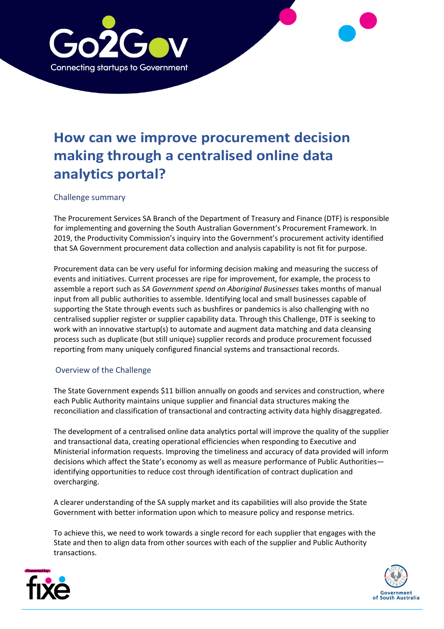

# **How can we improve procurement decision making through a centralised online data analytics portal?**

## Challenge summary

The Procurement Services SA Branch of the Department of Treasury and Finance (DTF) is responsible for implementing and governing the South Australian Government's Procurement Framework. In 2019, the Productivity Commission's inquiry into the Government's procurement activity identified that SA Government procurement data collection and analysis capability is not fit for purpose.

Procurement data can be very useful for informing decision making and measuring the success of events and initiatives. Current processes are ripe for improvement, for example, the process to assemble a report such as *SA Government spend on Aboriginal Businesses* takes months of manual input from all public authorities to assemble. Identifying local and small businesses capable of supporting the State through events such as bushfires or pandemics is also challenging with no centralised supplier register or supplier capability data. Through this Challenge, DTF is seeking to work with an innovative startup(s) to automate and augment data matching and data cleansing process such as duplicate (but still unique) supplier records and produce procurement focussed reporting from many uniquely configured financial systems and transactional records.

### Overview of the Challenge

The State Government expends \$11 billion annually on goods and services and construction, where each Public Authority maintains unique supplier and financial data structures making the reconciliation and classification of transactional and contracting activity data highly disaggregated.

The development of a centralised online data analytics portal will improve the quality of the supplier and transactional data, creating operational efficiencies when responding to Executive and Ministerial information requests. Improving the timeliness and accuracy of data provided will inform decisions which affect the State's economy as well as measure performance of Public Authorities identifying opportunities to reduce cost through identification of contract duplication and overcharging.

A clearer understanding of the SA supply market and its capabilities will also provide the State Government with better information upon which to measure policy and response metrics.

To achieve this, we need to work towards a single record for each supplier that engages with the State and then to align data from other sources with each of the supplier and Public Authority transactions.